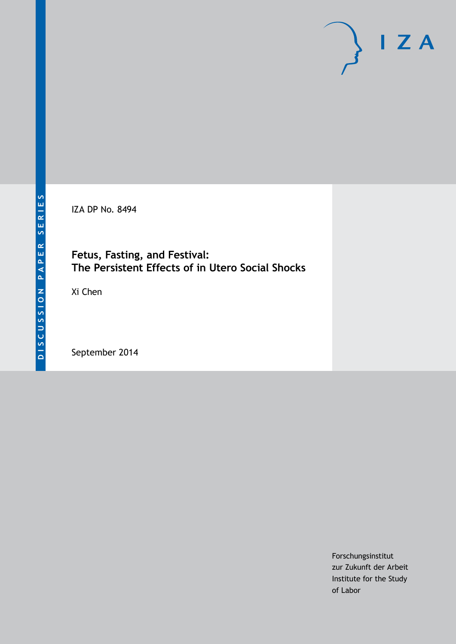

IZA DP No. 8494

## **Fetus, Fasting, and Festival: The Persistent Effects of in Utero Social Shocks**

Xi Chen

September 2014

Forschungsinstitut zur Zukunft der Arbeit Institute for the Study of Labor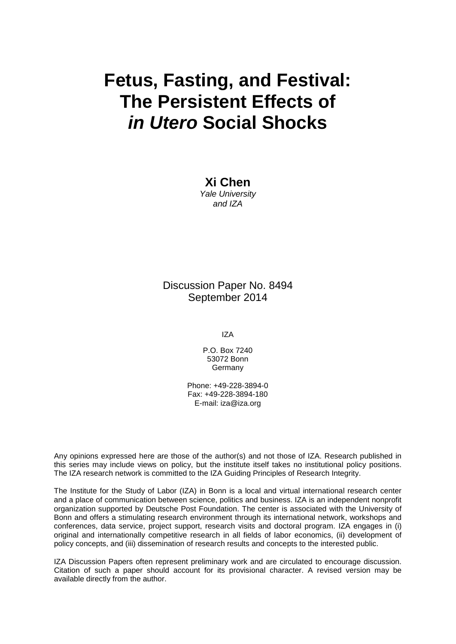# **Fetus, Fasting, and Festival: The Persistent Effects of** *in Utero* **Social Shocks**

**Xi Chen** *Yale University and IZA*

### Discussion Paper No. 8494 September 2014

IZA

P.O. Box 7240 53072 Bonn **Germany** 

Phone: +49-228-3894-0 Fax: +49-228-3894-180 E-mail: [iza@iza.org](mailto:iza@iza.org)

Any opinions expressed here are those of the author(s) and not those of IZA. Research published in this series may include views on policy, but the institute itself takes no institutional policy positions. The IZA research network is committed to the IZA Guiding Principles of Research Integrity.

The Institute for the Study of Labor (IZA) in Bonn is a local and virtual international research center and a place of communication between science, politics and business. IZA is an independent nonprofit organization supported by Deutsche Post Foundation. The center is associated with the University of Bonn and offers a stimulating research environment through its international network, workshops and conferences, data service, project support, research visits and doctoral program. IZA engages in (i) original and internationally competitive research in all fields of labor economics, (ii) development of policy concepts, and (iii) dissemination of research results and concepts to the interested public.

<span id="page-1-0"></span>IZA Discussion Papers often represent preliminary work and are circulated to encourage discussion. Citation of such a paper should account for its provisional character. A revised version may be available directly from the author.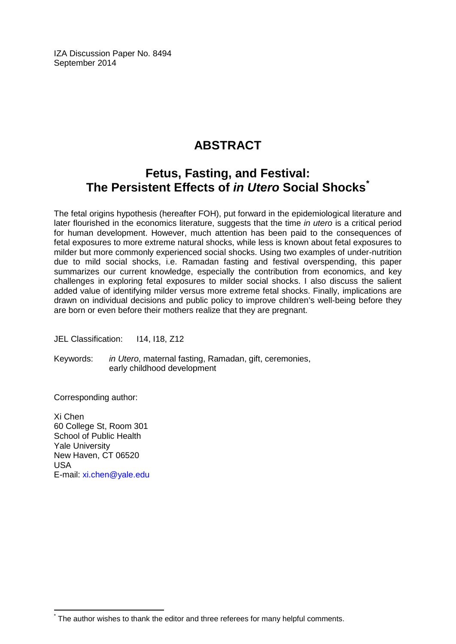IZA Discussion Paper No. 8494 September 2014

# **ABSTRACT**

## **Fetus, Fasting, and Festival: The Persistent Effects of** *in Utero* **Social Shocks[\\*](#page-1-0)**

The fetal origins hypothesis (hereafter FOH), put forward in the epidemiological literature and later flourished in the economics literature, suggests that the time *in utero* is a critical period for human development. However, much attention has been paid to the consequences of fetal exposures to more extreme natural shocks, while less is known about fetal exposures to milder but more commonly experienced social shocks. Using two examples of under-nutrition due to mild social shocks, i.e. Ramadan fasting and festival overspending, this paper summarizes our current knowledge, especially the contribution from economics, and key challenges in exploring fetal exposures to milder social shocks. I also discuss the salient added value of identifying milder versus more extreme fetal shocks. Finally, implications are drawn on individual decisions and public policy to improve children's well-being before they are born or even before their mothers realize that they are pregnant.

JEL Classification: I14, I18, Z12

Keywords: *in Utero*, maternal fasting, Ramadan, gift, ceremonies, early childhood development

Corresponding author:

Xi Chen 60 College St, Room 301 School of Public Health Yale University New Haven, CT 06520 USA E-mail: [xi.chen@yale.edu](mailto:xi.chen@yale.edu)

The author wishes to thank the editor and three referees for many helpful comments.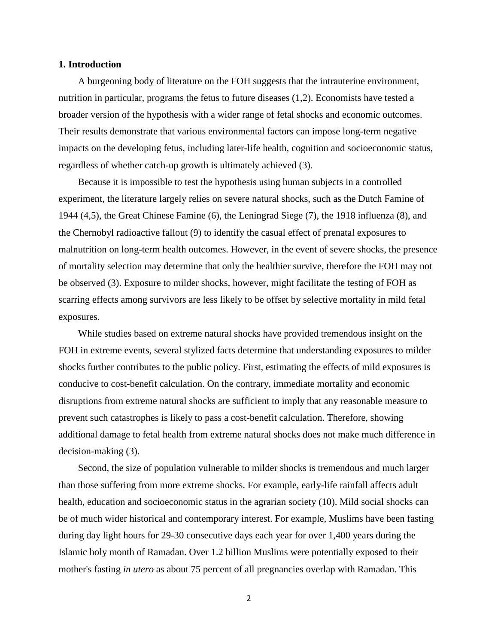#### **1. Introduction**

A burgeoning body of literature on the FOH suggests that the intrauterine environment, nutrition in particular, programs the fetus to future diseases (1,2). Economists have tested a broader version of the hypothesis with a wider range of fetal shocks and economic outcomes. Their results demonstrate that various environmental factors can impose long-term negative impacts on the developing fetus, including later-life health, cognition and socioeconomic status, regardless of whether catch-up growth is ultimately achieved (3).

Because it is impossible to test the hypothesis using human subjects in a controlled experiment, the literature largely relies on severe natural shocks, such as the Dutch Famine of 1944 (4,5), the Great Chinese Famine (6), the Leningrad Siege (7), the 1918 influenza (8), and the Chernobyl radioactive fallout (9) to identify the casual effect of prenatal exposures to malnutrition on long-term health outcomes. However, in the event of severe shocks, the presence of mortality selection may determine that only the healthier survive, therefore the FOH may not be observed (3). Exposure to milder shocks, however, might facilitate the testing of FOH as scarring effects among survivors are less likely to be offset by selective mortality in mild fetal exposures.

While studies based on extreme natural shocks have provided tremendous insight on the FOH in extreme events, several stylized facts determine that understanding exposures to milder shocks further contributes to the public policy. First, estimating the effects of mild exposures is conducive to cost-benefit calculation. On the contrary, immediate mortality and economic disruptions from extreme natural shocks are sufficient to imply that any reasonable measure to prevent such catastrophes is likely to pass a cost-benefit calculation. Therefore, showing additional damage to fetal health from extreme natural shocks does not make much difference in decision-making (3).

Second, the size of population vulnerable to milder shocks is tremendous and much larger than those suffering from more extreme shocks. For example, early-life rainfall affects adult health, education and socioeconomic status in the agrarian society (10). Mild social shocks can be of much wider historical and contemporary interest. For example, Muslims have been fasting during day light hours for 29-30 consecutive days each year for over 1,400 years during the Islamic holy month of Ramadan. Over 1.2 billion Muslims were potentially exposed to their mother's fasting *in utero* as about 75 percent of all pregnancies overlap with Ramadan. This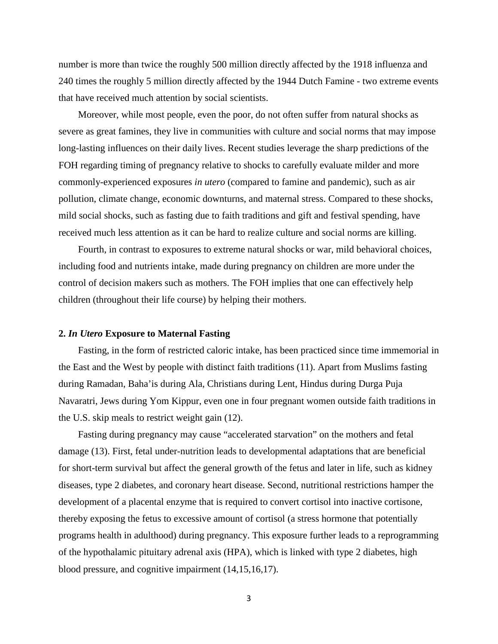number is more than twice the roughly 500 million directly affected by the 1918 influenza and 240 times the roughly 5 million directly affected by the 1944 Dutch Famine - two extreme events that have received much attention by social scientists.

Moreover, while most people, even the poor, do not often suffer from natural shocks as severe as great famines, they live in communities with culture and social norms that may impose long-lasting influences on their daily lives. Recent studies leverage the sharp predictions of the FOH regarding timing of pregnancy relative to shocks to carefully evaluate milder and more commonly-experienced exposures *in utero* (compared to famine and pandemic), such as air pollution, climate change, economic downturns, and maternal stress. Compared to these shocks, mild social shocks, such as fasting due to faith traditions and gift and festival spending, have received much less attention as it can be hard to realize culture and social norms are killing.

Fourth, in contrast to exposures to extreme natural shocks or war, mild behavioral choices, including food and nutrients intake, made during pregnancy on children are more under the control of decision makers such as mothers. The FOH implies that one can effectively help children (throughout their life course) by helping their mothers.

#### **2.** *In Utero* **Exposure to Maternal Fasting**

Fasting, in the form of restricted caloric intake, has been practiced since time immemorial in the East and the West by people with distinct faith traditions (11). Apart from Muslims fasting during Ramadan, Baha'is during Ala, Christians during Lent, Hindus during Durga Puja Navaratri, Jews during Yom Kippur, even one in four pregnant women outside faith traditions in the U.S. skip meals to restrict weight gain (12).

Fasting during pregnancy may cause "accelerated starvation" on the mothers and fetal damage (13). First, fetal under-nutrition leads to developmental adaptations that are beneficial for short-term survival but affect the general growth of the fetus and later in life, such as kidney diseases, type 2 diabetes, and coronary heart disease. Second, nutritional restrictions hamper the development of a placental enzyme that is required to convert cortisol into inactive cortisone, thereby exposing the fetus to excessive amount of cortisol (a stress hormone that potentially programs health in adulthood) during pregnancy. This exposure further leads to a reprogramming of the hypothalamic pituitary adrenal axis (HPA), which is linked with type 2 diabetes, high blood pressure, and cognitive impairment (14,15,16,17).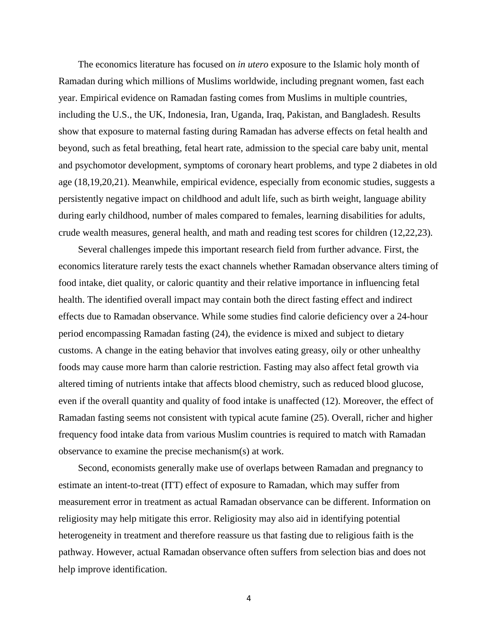The economics literature has focused on *in utero* exposure to the Islamic holy month of Ramadan during which millions of Muslims worldwide, including pregnant women, fast each year. Empirical evidence on Ramadan fasting comes from Muslims in multiple countries, including the U.S., the UK, Indonesia, Iran, Uganda, Iraq, Pakistan, and Bangladesh. Results show that exposure to maternal fasting during Ramadan has adverse effects on fetal health and beyond, such as fetal breathing, fetal heart rate, admission to the special care baby unit, mental and psychomotor development, symptoms of coronary heart problems, and type 2 diabetes in old age (18,19,20,21). Meanwhile, empirical evidence, especially from economic studies, suggests a persistently negative impact on childhood and adult life, such as birth weight, language ability during early childhood, number of males compared to females, learning disabilities for adults, crude wealth measures, general health, and math and reading test scores for children (12,22,23).

Several challenges impede this important research field from further advance. First, the economics literature rarely tests the exact channels whether Ramadan observance alters timing of food intake, diet quality, or caloric quantity and their relative importance in influencing fetal health. The identified overall impact may contain both the direct fasting effect and indirect effects due to Ramadan observance. While some studies find calorie deficiency over a 24-hour period encompassing Ramadan fasting (24), the evidence is mixed and subject to dietary customs. A change in the eating behavior that involves eating greasy, oily or other unhealthy foods may cause more harm than calorie restriction. Fasting may also affect fetal growth via altered timing of nutrients intake that affects blood chemistry, such as reduced blood glucose, even if the overall quantity and quality of food intake is unaffected (12). Moreover, the effect of Ramadan fasting seems not consistent with typical acute famine (25). Overall, richer and higher frequency food intake data from various Muslim countries is required to match with Ramadan observance to examine the precise mechanism(s) at work.

Second, economists generally make use of overlaps between Ramadan and pregnancy to estimate an intent-to-treat (ITT) effect of exposure to Ramadan, which may suffer from measurement error in treatment as actual Ramadan observance can be different. Information on religiosity may help mitigate this error. Religiosity may also aid in identifying potential heterogeneity in treatment and therefore reassure us that fasting due to religious faith is the pathway. However, actual Ramadan observance often suffers from selection bias and does not help improve identification.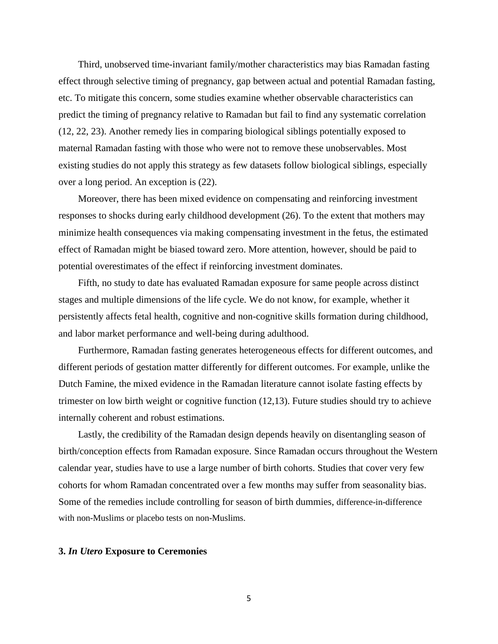Third, unobserved time-invariant family/mother characteristics may bias Ramadan fasting effect through selective timing of pregnancy, gap between actual and potential Ramadan fasting, etc. To mitigate this concern, some studies examine whether observable characteristics can predict the timing of pregnancy relative to Ramadan but fail to find any systematic correlation (12, 22, 23). Another remedy lies in comparing biological siblings potentially exposed to maternal Ramadan fasting with those who were not to remove these unobservables. Most existing studies do not apply this strategy as few datasets follow biological siblings, especially over a long period. An exception is (22).

Moreover, there has been mixed evidence on compensating and reinforcing investment responses to shocks during early childhood development (26). To the extent that mothers may minimize health consequences via making compensating investment in the fetus, the estimated effect of Ramadan might be biased toward zero. More attention, however, should be paid to potential overestimates of the effect if reinforcing investment dominates.

Fifth, no study to date has evaluated Ramadan exposure for same people across distinct stages and multiple dimensions of the life cycle. We do not know, for example, whether it persistently affects fetal health, cognitive and non-cognitive skills formation during childhood, and labor market performance and well-being during adulthood.

Furthermore, Ramadan fasting generates heterogeneous effects for different outcomes, and different periods of gestation matter differently for different outcomes. For example, unlike the Dutch Famine, the mixed evidence in the Ramadan literature cannot isolate fasting effects by trimester on low birth weight or cognitive function (12,13). Future studies should try to achieve internally coherent and robust estimations.

Lastly, the credibility of the Ramadan design depends heavily on disentangling season of birth/conception effects from Ramadan exposure. Since Ramadan occurs throughout the Western calendar year, studies have to use a large number of birth cohorts. Studies that cover very few cohorts for whom Ramadan concentrated over a few months may suffer from seasonality bias. Some of the remedies include controlling for season of birth dummies, difference-in-difference with non-Muslims or placebo tests on non-Muslims.

#### **3.** *In Utero* **Exposure to Ceremonies**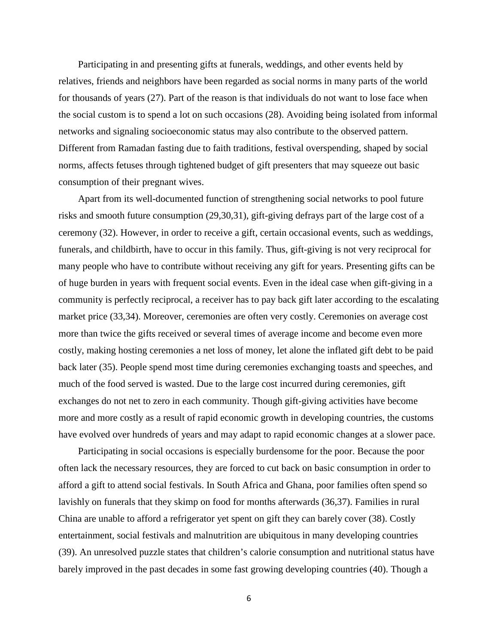Participating in and presenting gifts at funerals, weddings, and other events held by relatives, friends and neighbors have been regarded as social norms in many parts of the world for thousands of years (27). Part of the reason is that individuals do not want to lose face when the social custom is to spend a lot on such occasions (28). Avoiding being isolated from informal networks and signaling socioeconomic status may also contribute to the observed pattern. Different from Ramadan fasting due to faith traditions, festival overspending, shaped by social norms, affects fetuses through tightened budget of gift presenters that may squeeze out basic consumption of their pregnant wives.

Apart from its well-documented function of strengthening social networks to pool future risks and smooth future consumption (29,30,31), gift-giving defrays part of the large cost of a ceremony (32). However, in order to receive a gift, certain occasional events, such as weddings, funerals, and childbirth, have to occur in this family. Thus, gift-giving is not very reciprocal for many people who have to contribute without receiving any gift for years. Presenting gifts can be of huge burden in years with frequent social events. Even in the ideal case when gift-giving in a community is perfectly reciprocal, a receiver has to pay back gift later according to the escalating market price (33,34). Moreover, ceremonies are often very costly. Ceremonies on average cost more than twice the gifts received or several times of average income and become even more costly, making hosting ceremonies a net loss of money, let alone the inflated gift debt to be paid back later (35). People spend most time during ceremonies exchanging toasts and speeches, and much of the food served is wasted. Due to the large cost incurred during ceremonies, gift exchanges do not net to zero in each community. Though gift-giving activities have become more and more costly as a result of rapid economic growth in developing countries, the customs have evolved over hundreds of years and may adapt to rapid economic changes at a slower pace.

Participating in social occasions is especially burdensome for the poor. Because the poor often lack the necessary resources, they are forced to cut back on basic consumption in order to afford a gift to attend social festivals. In South Africa and Ghana, poor families often spend so lavishly on funerals that they skimp on food for months afterwards (36,37). Families in rural China are unable to afford a refrigerator yet spent on gift they can barely cover (38). Costly entertainment, social festivals and malnutrition are ubiquitous in many developing countries (39). An unresolved puzzle states that children's calorie consumption and nutritional status have barely improved in the past decades in some fast growing developing countries (40). Though a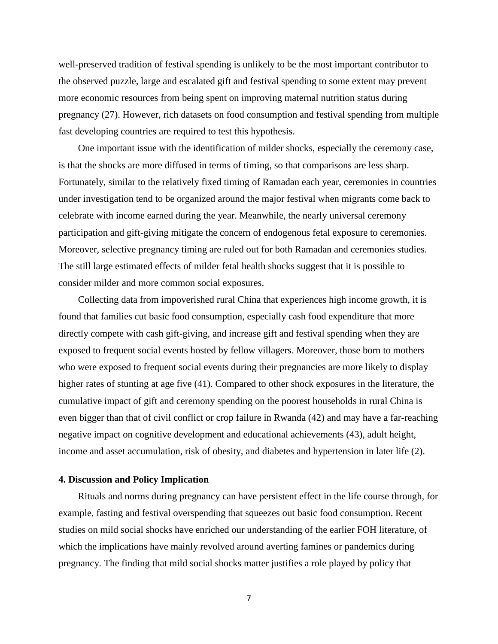well-preserved tradition of festival spending is unlikely to be the most important contributor to the observed puzzle, large and escalated gift and festival spending to some extent may prevent more economic resources from being spent on improving maternal nutrition status during pregnancy (27). However, rich datasets on food consumption and festival spending from multiple fast developing countries are required to test this hypothesis.

One important issue with the identification of milder shocks, especially the ceremony case, is that the shocks are more diffused in terms of timing, so that comparisons are less sharp. Fortunately, similar to the relatively fixed timing of Ramadan each year, ceremonies in countries under investigation tend to be organized around the major festival when migrants come back to celebrate with income earned during the year. Meanwhile, the nearly universal ceremony participation and gift-giving mitigate the concern of endogenous fetal exposure to ceremonies. Moreover, selective pregnancy timing are ruled out for both Ramadan and ceremonies studies. The still large estimated effects of milder fetal health shocks suggest that it is possible to consider milder and more common social exposures.

Collecting data from impoverished rural China that experiences high income growth, it is found that families cut basic food consumption, especially cash food expenditure that more directly compete with cash gift-giving, and increase gift and festival spending when they are exposed to frequent social events hosted by fellow villagers. Moreover, those born to mothers who were exposed to frequent social events during their pregnancies are more likely to display higher rates of stunting at age five (41). Compared to other shock exposures in the literature, the cumulative impact of gift and ceremony spending on the poorest households in rural China is even bigger than that of civil conflict or crop failure in Rwanda (42) and may have a far-reaching negative impact on cognitive development and educational achievements (43), adult height, income and asset accumulation, risk of obesity, and diabetes and hypertension in later life (2).

#### **4. Discussion and Policy Implication**

Rituals and norms during pregnancy can have persistent effect in the life course through, for example, fasting and festival overspending that squeezes out basic food consumption. Recent studies on mild social shocks have enriched our understanding of the earlier FOH literature, of which the implications have mainly revolved around averting famines or pandemics during pregnancy. The finding that mild social shocks matter justifies a role played by policy that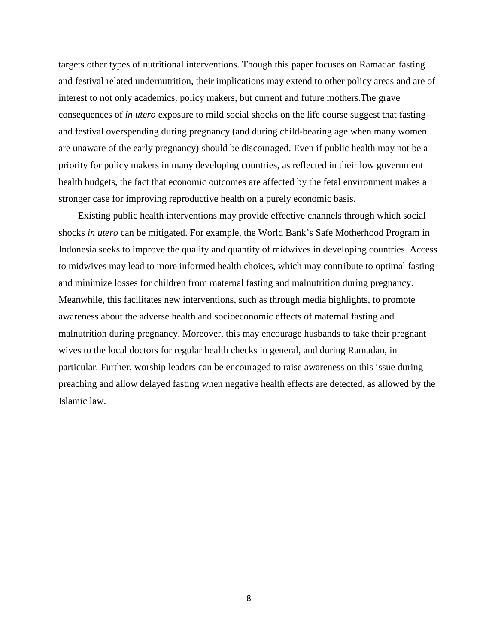targets other types of nutritional interventions. Though this paper focuses on Ramadan fasting and festival related undernutrition, their implications may extend to other policy areas and are of interest to not only academics, policy makers, but current and future mothers.The grave consequences of *in utero* exposure to mild social shocks on the life course suggest that fasting and festival overspending during pregnancy (and during child-bearing age when many women are unaware of the early pregnancy) should be discouraged. Even if public health may not be a priority for policy makers in many developing countries, as reflected in their low government health budgets, the fact that economic outcomes are affected by the fetal environment makes a stronger case for improving reproductive health on a purely economic basis.

Existing public health interventions may provide effective channels through which social shocks *in utero* can be mitigated. For example, the World Bank's Safe Motherhood Program in Indonesia seeks to improve the quality and quantity of midwives in developing countries. Access to midwives may lead to more informed health choices, which may contribute to optimal fasting and minimize losses for children from maternal fasting and malnutrition during pregnancy. Meanwhile, this facilitates new interventions, such as through media highlights, to promote awareness about the adverse health and socioeconomic effects of maternal fasting and malnutrition during pregnancy. Moreover, this may encourage husbands to take their pregnant wives to the local doctors for regular health checks in general, and during Ramadan, in particular. Further, worship leaders can be encouraged to raise awareness on this issue during preaching and allow delayed fasting when negative health effects are detected, as allowed by the Islamic law.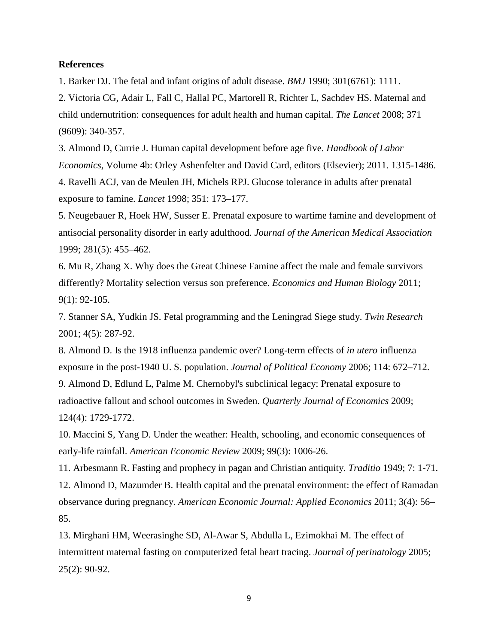#### **References**

1. Barker DJ. The fetal and infant origins of adult disease. *BMJ* 1990; 301(6761): 1111.

2. Victoria CG, Adair L, Fall C, Hallal PC, Martorell R, Richter L, Sachdev HS. Maternal and child undernutrition: consequences for adult health and human capital. *The Lancet* 2008; 371 (9609): 340-357.

3. Almond D, Currie J. Human capital development before age five. *Handbook of Labor Economics*, Volume 4b: Orley Ashenfelter and David Card, editors (Elsevier); 2011. 1315-1486. 4. Ravelli ACJ, van de Meulen JH, Michels RPJ. Glucose tolerance in adults after prenatal exposure to famine. *Lancet* 1998; 351: 173–177.

5. Neugebauer R, Hoek HW, Susser E. Prenatal exposure to wartime famine and development of antisocial personality disorder in early adulthood. *Journal of the American Medical Association* 1999; 281(5): 455–462.

6. Mu R, Zhang X. Why does the Great Chinese Famine affect the male and female survivors differently? Mortality selection versus son preference. *Economics and Human Biology* 2011; 9(1): 92-105.

7. Stanner SA, Yudkin JS. Fetal programming and the Leningrad Siege study. *Twin Research* 2001; 4(5): 287-92.

8. Almond D. Is the 1918 influenza pandemic over? Long-term effects of *in utero* influenza exposure in the post-1940 U. S. population. *Journal of Political Economy* 2006; 114: 672–712.

9. Almond D, Edlund L, Palme M. Chernobyl's subclinical legacy: Prenatal exposure to radioactive fallout and school outcomes in Sweden. *Quarterly Journal of Economics* 2009; 124(4): 1729-1772.

10. Maccini S, Yang D. Under the weather: Health, schooling, and economic consequences of early-life rainfall. *American Economic Review* 2009; 99(3): 1006-26.

11. Arbesmann R. Fasting and prophecy in pagan and Christian antiquity. *Traditio* 1949; 7: 1-71. 12. Almond D, Mazumder B. Health capital and the prenatal environment: the effect of Ramadan observance during pregnancy. *American Economic Journal: Applied Economics* 2011; 3(4): 56– 85.

13. Mirghani HM, Weerasinghe SD, Al-Awar S, Abdulla L, Ezimokhai M. The effect of intermittent maternal fasting on computerized fetal heart tracing. *Journal of perinatology* 2005; 25(2): 90-92.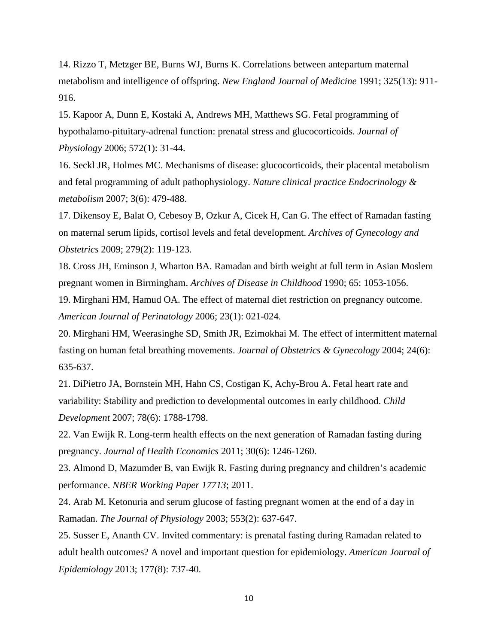14. Rizzo T, Metzger BE, Burns WJ, Burns K. Correlations between antepartum maternal metabolism and intelligence of offspring. *New England Journal of Medicine* 1991; 325(13): 911- 916.

15. Kapoor A, Dunn E, Kostaki A, Andrews MH, Matthews SG. Fetal programming of hypothalamo-pituitary-adrenal function: prenatal stress and glucocorticoids. *Journal of Physiology* 2006; 572(1): 31-44.

16. Seckl JR, Holmes MC. Mechanisms of disease: glucocorticoids, their placental metabolism and fetal programming of adult pathophysiology. *Nature clinical practice Endocrinology & metabolism* 2007; 3(6): 479-488.

17. Dikensoy E, Balat O, Cebesoy B, Ozkur A, Cicek H, Can G. The effect of Ramadan fasting on maternal serum lipids, cortisol levels and fetal development. *Archives of Gynecology and Obstetrics* 2009; 279(2): 119-123.

18. Cross JH, Eminson J, Wharton BA. Ramadan and birth weight at full term in Asian Moslem pregnant women in Birmingham. *Archives of Disease in Childhood* 1990; 65: 1053-1056.

19. Mirghani HM, Hamud OA. The effect of maternal diet restriction on pregnancy outcome. *American Journal of Perinatology* 2006; 23(1): 021-024.

20. Mirghani HM, Weerasinghe SD, Smith JR, Ezimokhai M. The effect of intermittent maternal fasting on human fetal breathing movements. *Journal of Obstetrics & Gynecology* 2004; 24(6): 635-637.

21. DiPietro JA, Bornstein MH, Hahn CS, Costigan K, Achy-Brou A. Fetal heart rate and variability: Stability and prediction to developmental outcomes in early childhood. *Child Development* 2007; 78(6): 1788-1798.

22. Van Ewijk R. Long-term health effects on the next generation of Ramadan fasting during pregnancy. *Journal of Health Economics* 2011; 30(6): 1246-1260.

23. Almond D, Mazumder B, van Ewijk R. Fasting during pregnancy and children's academic performance. *NBER Working Paper 17713*; 2011.

24. Arab M. Ketonuria and serum glucose of fasting pregnant women at the end of a day in Ramadan. *The Journal of Physiology* 2003; 553(2): 637-647.

25. Susser E, Ananth CV. Invited commentary: is prenatal fasting during Ramadan related to adult health outcomes? A novel and important question for epidemiology. *American Journal of Epidemiology* 2013; 177(8): 737-40.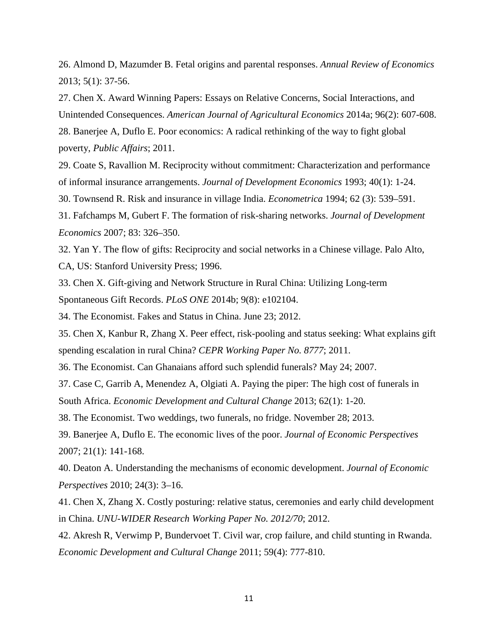26. Almond D, Mazumder B. Fetal origins and parental responses. *Annual Review of Economics* 2013; 5(1): 37-56.

27. Chen X. Award Winning Papers: Essays on Relative Concerns, Social Interactions, and Unintended Consequences. *American Journal of Agricultural Economics* 2014a; 96(2): 607-608.

28. Banerjee A, Duflo E. Poor economics: A radical rethinking of the way to fight global poverty, *Public Affairs*; 2011.

29. Coate S, Ravallion M. Reciprocity without commitment: Characterization and performance of informal insurance arrangements. *Journal of Development Economics* 1993; 40(1): 1-24.

30. Townsend R. Risk and insurance in village India. *Econometrica* 1994; 62 (3): 539–591.

31. Fafchamps M, Gubert F. The formation of risk-sharing networks. *Journal of Development Economics* 2007; 83: 326–350.

32. Yan Y. The flow of gifts: Reciprocity and social networks in a Chinese village. Palo Alto, CA, US: Stanford University Press; 1996.

33. Chen X. Gift-giving and Network Structure in Rural China: Utilizing Long-term

Spontaneous Gift Records. *PLoS ONE* 2014b; 9(8): e102104.

34. The Economist. Fakes and Status in China. June 23; 2012.

35. Chen X, Kanbur R, Zhang X. Peer effect, risk-pooling and status seeking: What explains gift spending escalation in rural China? *CEPR Working Paper No. 8777*; 2011.

36. The Economist. Can Ghanaians afford such splendid funerals? May 24; 2007.

37. Case C, Garrib A, Menendez A, Olgiati A. Paying the piper: The high cost of funerals in South Africa. *Economic Development and Cultural Change* 2013; 62(1): 1-20.

38. The Economist. Two weddings, two funerals, no fridge. November 28; 2013.

39. Banerjee A, Duflo E. The economic lives of the poor. *Journal of Economic Perspectives* 2007; 21(1): 141-168.

40. Deaton A. Understanding the mechanisms of economic development. *Journal of Economic Perspectives* 2010; 24(3): 3–16.

41. Chen X, Zhang X. Costly posturing: relative status, ceremonies and early child development in China. *UNU-WIDER Research Working Paper No. 2012/70*; 2012.

42. Akresh R, Verwimp P, Bundervoet T. Civil war, crop failure, and child stunting in Rwanda. *Economic Development and Cultural Change* 2011; 59(4): 777-810.